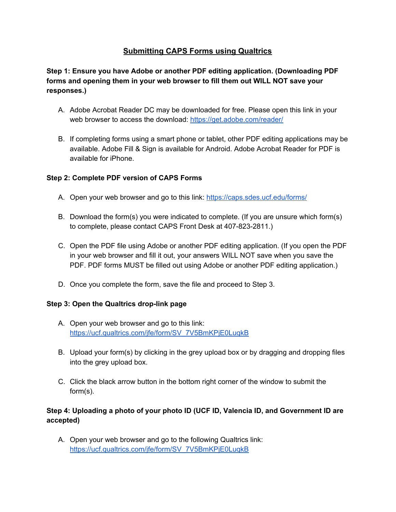# **Submitting CAPS Forms using Qualtrics**

## **Step 1: Ensure you have Adobe or another PDF editing application. (Downloading PDF forms and opening them in your web browser to fill them out WILL NOT save your responses.)**

- A. Adobe Acrobat Reader DC may be downloaded for free. Please open this link in your web browser to access the download: <https://get.adobe.com/reader/>
- B. If completing forms using a smart phone or tablet, other PDF editing applications may be available. Adobe Fill & Sign is available for Android. Adobe Acrobat Reader for PDF is available for iPhone.

### **Step 2: Complete PDF version of CAPS Forms**

- A. Open your web browser and go to this link: <https://caps.sdes.ucf.edu/forms/>
- B. Download the form(s) you were indicated to complete. (If you are unsure which form(s) to complete, please contact CAPS Front Desk at 407-823-2811.)
- C. Open the PDF file using Adobe or another PDF editing application. (If you open the PDF in your web browser and fill it out, your answers WILL NOT save when you save the PDF. PDF forms MUST be filled out using Adobe or another PDF editing application.)
- D. Once you complete the form, save the file and proceed to Step 3.

#### **Step 3: Open the Qualtrics drop-link page**

- A. Open your web browser and go to this link: [https://ucf.qualtrics.com/jfe/form/SV\\_7V5BmKPjE0LuqkB](https://ucf.qualtrics.com/jfe/form/SV_7V5BmKPjE0LuqkB)
- B. Upload your form(s) by clicking in the grey upload box or by dragging and dropping files into the grey upload box.
- C. Click the black arrow button in the bottom right corner of the window to submit the form(s).

### **Step 4: Uploading a photo of your photo ID (UCF ID, Valencia ID, and Government ID are accepted)**

A. Open your web browser and go to the following Qualtrics link: [https://ucf.qualtrics.com/jfe/form/SV\\_7V5BmKPjE0LuqkB](https://ucf.qualtrics.com/jfe/form/SV_7V5BmKPjE0LuqkB)